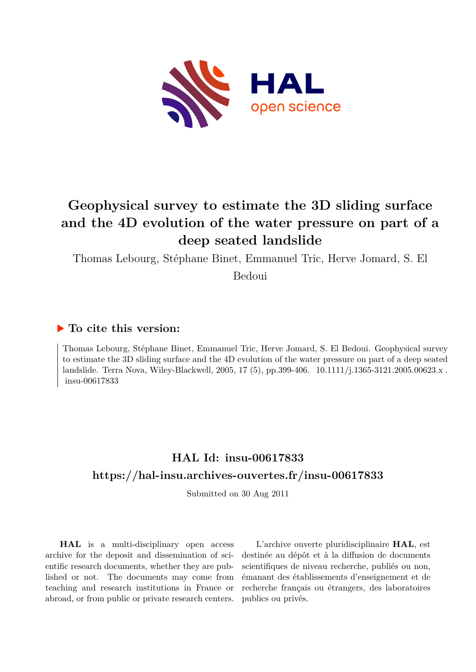

# **Geophysical survey to estimate the 3D sliding surface and the 4D evolution of the water pressure on part of a deep seated landslide**

Thomas Lebourg, Stéphane Binet, Emmanuel Tric, Herve Jomard, S. El

Bedoui

# **To cite this version:**

Thomas Lebourg, Stéphane Binet, Emmanuel Tric, Herve Jomard, S. El Bedoui. Geophysical survey to estimate the 3D sliding surface and the 4D evolution of the water pressure on part of a deep seated landslide. Terra Nova, Wiley-Blackwell, 2005, 17 (5), pp.399-406.  $10.1111/j.1365-3121.2005.00623.x$ . insu-00617833

# **HAL Id: insu-00617833 <https://hal-insu.archives-ouvertes.fr/insu-00617833>**

Submitted on 30 Aug 2011

**HAL** is a multi-disciplinary open access archive for the deposit and dissemination of scientific research documents, whether they are published or not. The documents may come from teaching and research institutions in France or abroad, or from public or private research centers.

L'archive ouverte pluridisciplinaire **HAL**, est destinée au dépôt et à la diffusion de documents scientifiques de niveau recherche, publiés ou non, émanant des établissements d'enseignement et de recherche français ou étrangers, des laboratoires publics ou privés.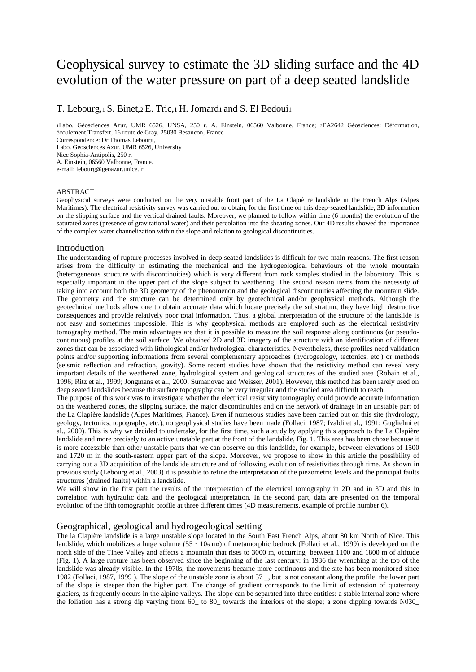# Geophysical survey to estimate the 3D sliding surface and the 4D evolution of the water pressure on part of a deep seated landslide

T. Lebourg, 1 S. Binet, 2 E. Tric, 1 H. Jomard1 and S. El Bedoui1

<sup>1</sup>Labo. Géosciences Azur, UMR 6526, UNSA, 250 r. A. Einstein, 06560 Valbonne, France; 2EA2642 Géosciences: Déformation, écoulement,Transfert, 16 route de Gray, 25030 Besancon, France Correspondence: Dr Thomas Lebourg, Labo. Géosciences Azur, UMR 6526, University Nice Sophia-Antipolis, 250 r. A. Einstein, 06560 Valbonne, France. e-mail: lebourg@geoazur.unice.fr

#### ABSTRACT

Geophysical surveys were conducted on the very unstable front part of the La Clapiè re landslide in the French Alps (Alpes Maritimes). The electrical resistivity survey was carried out to obtain, for the first time on this deep-seated landslide, 3D information on the slipping surface and the vertical drained faults. Moreover, we planned to follow within time (6 months) the evolution of the saturated zones (presence of gravitational water) and their percolation into the shearing zones. Our 4D results showed the importance of the complex water channelization within the slope and relation to geological discontinuities.

#### Introduction

The understanding of rupture processes involved in deep seated landslides is difficult for two main reasons. The first reason arises from the difficulty in estimating the mechanical and the hydrogeological behaviours of the whole mountain (heterogeneous structure with discontinuities) which is very different from rock samples studied in the laboratory. This is especially important in the upper part of the slope subject to weathering. The second reason items from the necessity of taking into account both the 3D geometry of the phenomenon and the geological discontinuities affecting the mountain slide. The geometry and the structure can be determined only by geotechnical and/or geophysical methods. Although the geotechnical methods allow one to obtain accurate data which locate precisely the substratum, they have high destructive consequences and provide relatively poor total information. Thus, a global interpretation of the structure of the landslide is not easy and sometimes impossible. This is why geophysical methods are employed such as the electrical resistivity tomography method. The main advantages are that it is possible to measure the soil response along continuous (or pseudocontinuous) profiles at the soil surface. We obtained 2D and 3D imagery of the structure with an identification of different zones that can be associated with lithological and/or hydrological characteristics. Nevertheless, these profiles need validation points and/or supporting informations from several complementary approaches (hydrogeology, tectonics, etc.) or methods (seismic reflection and refraction, gravity). Some recent studies have shown that the resistivity method can reveal very important details of the weathered zone, hydrological system and geological structures of the studied area (Robain et al., 1996; Ritz et al., 1999; Jongmans et al., 2000; Sumanovac and Weisser, 2001). However, this method has been rarely used on deep seated landslides because the surface topography can be very irregular and the studied area difficult to reach.

The purpose of this work was to investigate whether the electrical resistivity tomography could provide accurate information on the weathered zones, the slipping surface, the major discontinuities and on the network of drainage in an unstable part of the La Clapière landslide (Alpes Maritimes, France). Even if numerous studies have been carried out on this site (hydrology, geology, tectonics, topography, etc.), no geophysical studies have been made (Follaci, 1987; Ivaldi et al., 1991; Guglielmi et al., 2000). This is why we decided to undertake, for the first time, such a study by applying this approach to the La Clapière landslide and more precisely to an active unstable part at the front of the landslide, Fig. 1. This area has been chose because it is more accessible than other unstable parts that we can observe on this landslide, for example, between elevations of 1500 and 1720 m in the south-eastern upper part of the slope. Moreover, we propose to show in this article the possibility of carrying out a 3D acquisition of the landslide structure and of following evolution of resistivities through time. As shown in previous study (Lebourg et al., 2003) it is possible to refine the interpretation of the piezometric levels and the principal faults structures (drained faults) within a landslide.

We will show in the first part the results of the interpretation of the electrical tomography in 2D and in 3D and this in correlation with hydraulic data and the geological interpretation. In the second part, data are presented on the temporal evolution of the fifth tomographic profile at three different times (4D measurements, example of profile number 6).

## Geographical, geological and hydrogeological setting

The la Clapière landslide is a large unstable slope located in the South East French Alps, about 80 km North of Nice. This landslide, which mobilizes a huge volume (55 · 106 m3) of metamorphic bedrock (Follaci et al., 1999) is developed on the north side of the Tinee Valley and affects a mountain that rises to 3000 m, occurring between 1100 and 1800 m of altitude (Fig. 1). A large rupture has been observed since the beginning of the last century: in 1936 the wrenching at the top of the landslide was already visible. In the 1970s, the movements became more continuous and the site has been monitored since 1982 (Follaci, 1987, 1999 ). The slope of the unstable zone is about 37 \_, but is not constant along the profile: the lower part of the slope is steeper than the higher part. The change of gradient corresponds to the limit of extension of quaternary glaciers, as frequently occurs in the alpine valleys. The slope can be separated into three entities: a stable internal zone where the foliation has a strong dip varying from 60\_ to 80\_ towards the interiors of the slope; a zone dipping towards N030\_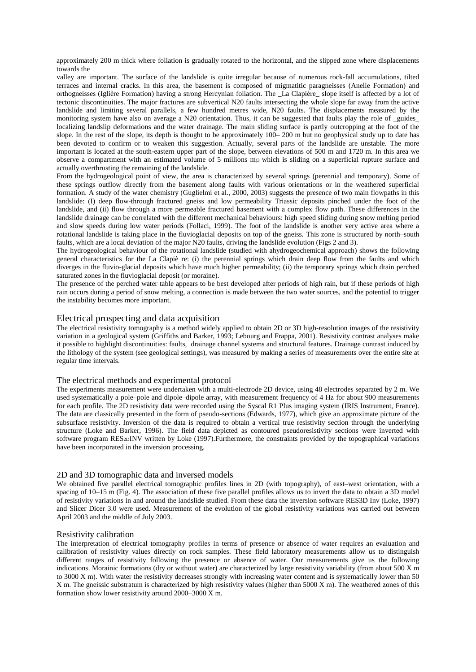approximately 200 m thick where foliation is gradually rotated to the horizontal, and the slipped zone where displacements towards the

valley are important. The surface of the landslide is quite irregular because of numerous rock-fall accumulations, tilted terraces and internal cracks. In this area, the basement is composed of migmatitic paragneisses (Anelle Formation) and orthogneisses (Iglière Formation) having a strong Hercynian foliation. The \_La Clapière\_ slope itself is affected by a lot of tectonic discontinuities. The major fractures are subvertical N20 faults intersecting the whole slope far away from the active landslide and limiting several parallels, a few hundred metres wide, N20 faults. The displacements measured by the monitoring system have also on average a N20 orientation. Thus, it can be suggested that faults play the role of \_guides\_ localizing landslip deformations and the water drainage. The main sliding surface is partly outcropping at the foot of the slope. In the rest of the slope, its depth is thought to be approximately 100– 200 m but no geophysical study up to date has been devoted to confirm or to weaken this suggestion. Actually, several parts of the landslide are unstable. The more important is located at the south-eastern upper part of the slope, between elevations of 500 m and 1720 m. In this area we observe a compartment with an estimated volume of 5 millions m<sub>3</sub> which is sliding on a superficial rupture surface and actually overthrusting the remaining of the landslide.

From the hydrogeological point of view, the area is characterized by several springs (perennial and temporary). Some of these springs outflow directly from the basement along faults with various orientations or in the weathered superficial formation. A study of the water chemistry (Guglielmi et al., 2000, 2003) suggests the presence of two main flowpaths in this landslide: (I) deep flow-through fractured gneiss and low permeability Triassic deposits pinched under the foot of the landslide, and (ii) flow through a more permeable fractured basement with a complex flow path. These differences in the landslide drainage can be correlated with the different mechanical behaviours: high speed sliding during snow melting period and slow speeds during low water periods (Follaci, 1999). The foot of the landslide is another very active area where a rotational landslide is taking place in the fluvioglacial deposits on top of the gneiss. This zone is structured by north–south faults, which are a local deviation of the major N20 faults, driving the landslide evolution (Figs 2 and 3).

The hydrogeological behaviour of the rotational landslide (studied with ahydrogeochemical approach) shows the following general characteristics for the La Clapiè re: (i) the perennial springs which drain deep flow from the faults and which diverges in the fluvio-glacial deposits which have much higher permeability; (ii) the temporary springs which drain perched saturated zones in the fluvioglacial deposit (or moraine).

The presence of the perched water table appears to be best developed after periods of high rain, but if these periods of high rain occurs during a period of snow melting, a connection is made between the two water sources, and the potential to trigger the instability becomes more important.

# Electrical prospecting and data acquisition

The electrical resistivity tomography is a method widely applied to obtain 2D or 3D high-resolution images of the resistivity variation in a geological system (Griffiths and Barker, 1993; Lebourg and Frappa, 2001). Resistivity contrast analyses make it possible to highlight discontinuities: faults, drainage channel systems and structural features. Drainage contrast induced by the lithology of the system (see geological settings), was measured by making a series of measurements over the entire site at regular time intervals.

# The electrical methods and experimental protocol

The experiments measurement were undertaken with a multi-electrode 2D device, using 48 electrodes separated by 2 m. We used systematically a pole–pole and dipole–dipole array, with measurement frequency of 4 Hz for about 900 measurements for each profile. The 2D resistivity data were recorded using the Syscal R1 Plus imaging system (IRIS Instrument, France). The data are classically presented in the form of pseudo-sections (Edwards, 1977), which give an approximate picture of the subsurface resistivity. Inversion of the data is required to obtain a vertical true resistivity section through the underlying structure (Loke and Barker, 1996). The field data depicted as contoured pseudoresistivity sections were inverted with software program RES2DINV written by Loke (1997).Furthermore, the constraints provided by the topographical variations have been incorporated in the inversion processing.

### 2D and 3D tomographic data and inversed models

We obtained five parallel electrical tomographic profiles lines in 2D (with topography), of east–west orientation, with a spacing of 10–15 m (Fig. 4). The association of these five parallel profiles allows us to invert the data to obtain a 3D model of resistivity variations in and around the landslide studied. From these data the inversion software RES3D Inv (Loke, 1997) and Slicer Dicer 3.0 were used. Measurement of the evolution of the global resistivity variations was carried out between April 2003 and the middle of July 2003.

#### Resistivity calibration

The interpretation of electrical tomography profiles in terms of presence or absence of water requires an evaluation and calibration of resistivity values directly on rock samples. These field laboratory measurements allow us to distinguish different ranges of resistivity following the presence or absence of water. Our measurements give us the following indications. Morainic formations (dry or without water) are characterized by large resistivity variability (from about 500 X m to 3000 X m). With water the resistivity decreases strongly with increasing water content and is systematically lower than 50 X m. The gneissic substratum is characterized by high resistivity values (higher than 5000 X m). The weathered zones of this formation show lower resistivity around 2000–3000 X m.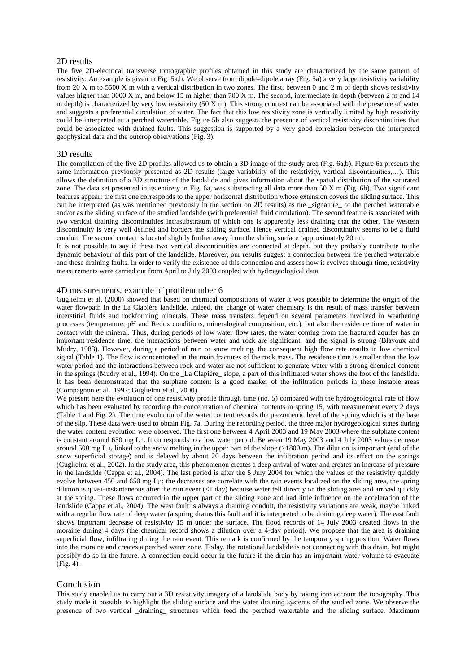### 2D results

The five 2D-electrical transverse tomographic profiles obtained in this study are characterized by the same pattern of resistivity. An example is given in Fig. 5a,b. We observe from dipole–dipole array (Fig. 5a) a very large resistivity variability from 20 X m to 5500 X m with a vertical distribution in two zones. The first, between 0 and 2 m of depth shows resistivity values higher than 3000 X m, and below 15 m higher than 700 X m. The second, intermediate in depth (between  $2 \text{ m}$  and  $14$ m depth) is characterized by very low resistivity (50 X m). This strong contrast can be associated with the presence of water and suggests a preferential circulation of water. The fact that this low resistivity zone is vertically limited by high resistivity could be interpreted as a perched watertable. Figure 5b also suggests the presence of vertical resistivity discontinuities that could be associated with drained faults. This suggestion is supported by a very good correlation between the interpreted geophysical data and the outcrop observations (Fig. 3).

#### 3D results

The compilation of the five 2D profiles allowed us to obtain a 3D image of the study area (Fig. 6a,b). Figure 6a presents the same information previously presented as 2D results (large variability of the resistivity, vertical discontinuities,...). This allows the definition of a 3D structure of the landslide and gives information about the spatial distribution of the saturated zone. The data set presented in its entirety in Fig. 6a, was substracting all data more than  $50X$  m (Fig. 6b). Two significant features appear: the first one corresponds to the upper horizontal distribution whose extension covers the sliding surface. This can be interpreted (as was mentioned previously in the section on 2D results) as the \_signature\_ of the perched watertable and/or as the sliding surface of the studied landslide (with preferential fluid circulation). The second feature is associated with two vertical draining discontinuities intrasubstratum of which one is apparently less draining that the other. The western discontinuity is very well defined and borders the sliding surface. Hence vertical drained discontinuity seems to be a fluid conduit. The second contact is located slightly further away from the sliding surface (approximately 20 m).

It is not possible to say if these two vertical discontinuities are connected at depth, but they probably contribute to the dynamic behaviour of this part of the landslide. Moreover, our results suggest a connection between the perched watertable and these draining faults. In order to verify the existence of this connection and assess how it evolves through time, resistivity measurements were carried out from April to July 2003 coupled with hydrogeological data.

#### 4D measurements, example of profilenumber 6

Guglielmi et al. (2000) showed that based on chemical compositions of water it was possible to determine the origin of the water flowpath in the La Clapière landslide. Indeed, the change of water chemistry is the result of mass transfer between interstitial fluids and rockforming minerals. These mass transfers depend on several parameters involved in weathering processes (temperature, pH and Redox conditions, mineralogical composition, etc.), but also the residence time of water in contact with the mineral. Thus, during periods of low water flow rates, the water coming from the fractured aquifer has an important residence time, the interactions between water and rock are significant, and the signal is strong (Blavoux and Mudry, 1983). However, during a period of rain or snow melting, the consequent high flow rate results in low chemical signal (Table 1). The flow is concentrated in the main fractures of the rock mass. The residence time is smaller than the low water period and the interactions between rock and water are not sufficient to generate water with a strong chemical content in the springs (Mudry et al., 1994). On the \_La Clapière\_ slope, a part of this infiltrated water shows the foot of the landslide. It has been demonstrated that the sulphate content is a good marker of the infiltration periods in these instable areas (Compagnon et al., 1997; Guglielmi et al., 2000).

We present here the evolution of one resistivity profile through time (no. 5) compared with the hydrogeological rate of flow which has been evaluated by recording the concentration of chemical contents in spring 15, with measurement every 2 days (Table 1 and Fig. 2). The time evolution of the water content records the piezometric level of the spring which is at the base of the slip. These data were used to obtain Fig. 7a. During the recording period, the three major hydrogeological states during the water content evolution were observed. The first one between 4 April 2003 and 19 May 2003 where the sulphate content is constant around 650 mg L-1. It corresponds to a low water period. Between 19 May 2003 and 4 July 2003 values decrease around 500 mg L-1, linked to the snow melting in the upper part of the slope  $(>1800 \text{ m})$ . The dilution is important (end of the snow superficial storage) and is delayed by about 20 days between the infiltration period and its effect on the springs (Guglielmi et al., 2002). In the study area, this phenomenon creates a deep arrival of water and creates an increase of pressure in the landslide (Cappa et al., 2004). The last period is after the 5 July 2004 for which the values of the resistivity quickly evolve between 450 and 650 mg  $L_{11}$ ; the decreases are correlate with the rain events localized on the sliding area, the spring dilution is quasi-instantaneous after the rain event (<1 day) because water fell directly on the sliding area and arrived quickly at the spring. These flows occurred in the upper part of the sliding zone and had little influence on the acceleration of the landslide (Cappa et al., 2004). The west fault is always a draining conduit, the resistivity variations are weak, maybe linked with a regular flow rate of deep water (a spring drains this fault and it is interpreted to be draining deep water). The east fault shows important decrease of resistivity 15 m under the surface. The flood records of 14 July 2003 created flows in the moraine during 4 days (the chemical record shows a dilution over a 4-day period). We propose that the area is draining superficial flow, infiltrating during the rain event. This remark is confirmed by the temporary spring position. Water flows into the moraine and creates a perched water zone. Today, the rotational landslide is not connecting with this drain, but might possibly do so in the future. A connection could occur in the future if the drain has an important water volume to evacuate (Fig. 4).

## Conclusion

This study enabled us to carry out a 3D resistivity imagery of a landslide body by taking into account the topography. This study made it possible to highlight the sliding surface and the water draining systems of the studied zone. We observe the presence of two vertical \_draining\_ structures which feed the perched watertable and the sliding surface. Maximum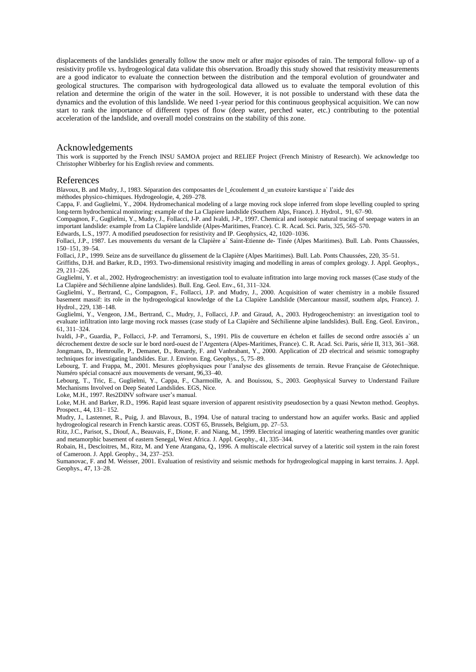displacements of the landslides generally follow the snow melt or after major episodes of rain. The temporal follow- up of a resistivity profile vs. hydrogeological data validate this observation. Broadly this study showed that resistivity measurements are a good indicator to evaluate the connection between the distribution and the temporal evolution of groundwater and geological structures. The comparison with hydrogeological data allowed us to evaluate the temporal evolution of this relation and determine the origin of the water in the soil. However, it is not possible to understand with these data the dynamics and the evolution of this landslide. We need 1-year period for this continuous geophysical acquisition. We can now start to rank the importance of different types of flow (deep water, perched water, etc.) contributing to the potential acceleration of the landslide, and overall model constrains on the stability of this zone.

### Acknowledgements

This work is supported by the French INSU SAMOA project and RELIEF Project (French Ministry of Research). We acknowledge too Christopher Wibberley for his English review and comments.

#### References

Blavoux, B. and Mudry, J., 1983. Séparation des composantes de l\_écoulement d\_un exutoire karstique a` l'aide des

méthodes physico-chimiques. Hydrogeologie, 4, 269–278.

Cappa, F. and Guglielmi, Y., 2004. Hydromechanical modeling of a large moving rock slope inferred from slope levelling coupled to spring long-term hydrochemical monitoring: example of the La Clapiere landslide (Southern Alps, France). J. Hydrol., 91, 67–90.

Compagnon, F., Guglielmi, Y., Mudry, J., Follacci, J-P. and Ivaldi, J-P., 1997. Chemical and isotopic natural tracing of seepage waters in an important landslide: example from La Clapière landslide (Alpes-Maritimes, France). C. R. Acad. Sci. Paris, 325, 565–570.

Edwards, L.S., 1977. A modified pseudosection for resistivity and IP. Geophysics, 42, 1020–1036.

Follaci, J.P., 1987. Les mouvements du versant de la Clapière a` Saint-Etienne de- Tinée (Alpes Maritimes). Bull. Lab. Ponts Chaussées, 150–151, 39–54.

Follaci, J.P., 1999. Seize ans de surveillance du glissement de la Clapière (Alpes Maritimes). Bull. Lab. Ponts Chaussées, 220, 35–51.

Griffiths, D.H. and Barker, R.D., 1993. Two-dimensional resistivity imaging and modelling in areas of complex geology. J. Appl. Geophys., 29, 211–226.

Guglielmi, Y. et al., 2002. Hydrogeochemistry: an investigation tool to evaluate infitration into large moving rock masses (Case study of the La Clapière and Séchilienne alpine landslides). Bull. Eng. Geol. Env., 61, 311–324.

Guglielmi, Y., Bertrand, C., Compagnon, F., Follacci, J.P. and Mudry, J., 2000. Acquisition of water chemistry in a mobile fissured basement massif: its role in the hydrogeological knowledge of the La Clapière Landslide (Mercantour massif, southern alps, France). J. Hydrol., 229, 138–148.

Guglielmi, Y., Vengeon, J.M., Bertrand, C., Mudry, J., Follacci, J.P. and Giraud, A., 2003. Hydrogeochemistry: an investigation tool to evaluate infiltration into large moving rock masses (case study of La Clapière and Séchilienne alpine landslides). Bull. Eng. Geol. Environ., 61, 311–324.

Ivaldi, J-P., Guardia, P., Follacci, J-P. and Terramorsi, S., 1991. Plis de couverture en échelon et failles de second ordre associés a` un décrochement dextre de socle sur le bord nord-ouest de l'Argentera (Alpes-Maritimes, France). C. R. Acad. Sci. Paris, série II, 313, 361–368. Jongmans, D., Hemroulle, P., Demanet, D., Renardy, F. and Vanbrabant, Y., 2000. Application of 2D electrical and seismic tomography techniques for investigating landslides. Eur. J. Environ. Eng. Geophys., 5, 75–89.

Lebourg, T. and Frappa, M., 2001. Mesures géophysiques pour l'analyse des glissements de terrain. Revue Française de Géotechnique. Numéro spécial consacré aux mouvements de versant, 96,33–40.

Lebourg, T., Tric, E., Guglielmi, Y., Cappa, F., Charmoille, A. and Bouissou, S., 2003. Geophysical Survey to Understand Failure Mechanisms Involved on Deep Seated Landslides. EGS, Nice.

Loke, M.H., 1997. Res2DINV software user's manual.

Loke, M.H. and Barker, R.D., 1996. Rapid least square inversion of apparent resistivity pseudosection by a quasi Newton method. Geophys. Prospect., 44, 131– 152.

Mudry, J., Lastennet, R., Puig, J. and Blavoux, B., 1994. Use of natural tracing to understand how an aquifer works. Basic and applied hydrogeological research in French karstic areas. COST 65, Brussels, Belgium, pp. 27–53.

Ritz, J.C., Parisot, S., Diouf, A., Beauvais, F., Dione, F. and Niang, M., 1999. Electrical imaging of lateritic weathering mantles over granitic and metamorphic basement of eastern Senegal, West Africa. J. Appl. Geophy., 41, 335–344.

Robain, H., Descloitres, M., Ritz, M. and Yene Atangana, Q., 1996. A multiscale electrical survey of a lateritic soil system in the rain forest of Cameroon. J. Appl. Geophy., 34, 237–253.

Sumanovac, F. and M. Weisser, 2001. Evaluation of resistivity and seismic methods for hydrogeological mapping in karst terrains. J. Appl. Geophys., 47, 13–28.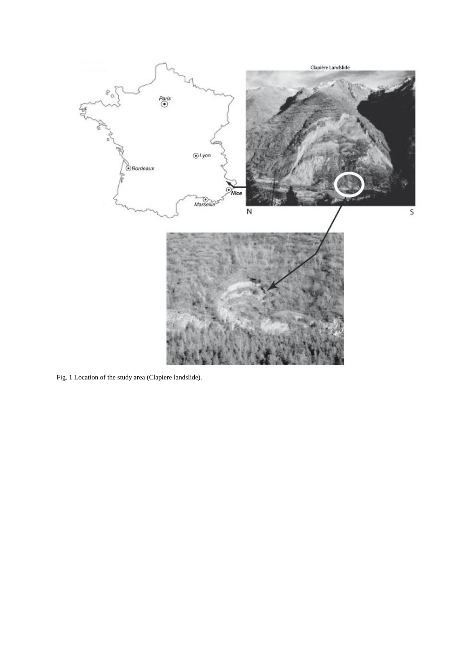

Fig. 1 Location of the study area (Clapiere landslide).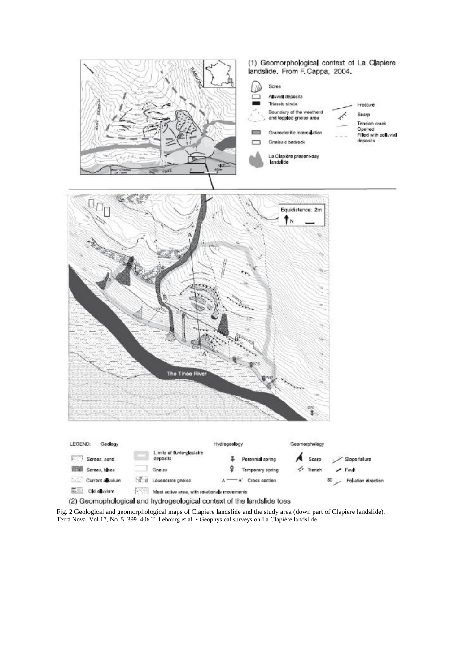

Fig. 2 Geological and geomorphological maps of Clapiere landslide and the study area (down part of Clapiere landslide). Terra Nova, Vol 17, No. 5, 399–406 T. Lebourg et al. • Geophysical surveys on La Clapière landslide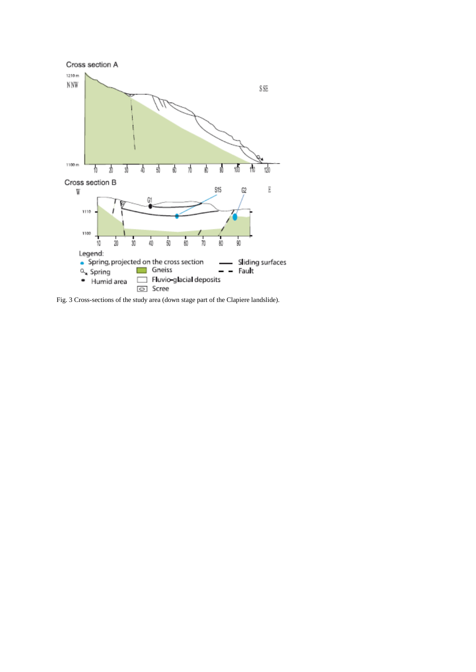

Fig. 3 Cross-sections of the study area (down stage part of the Clapiere landslide).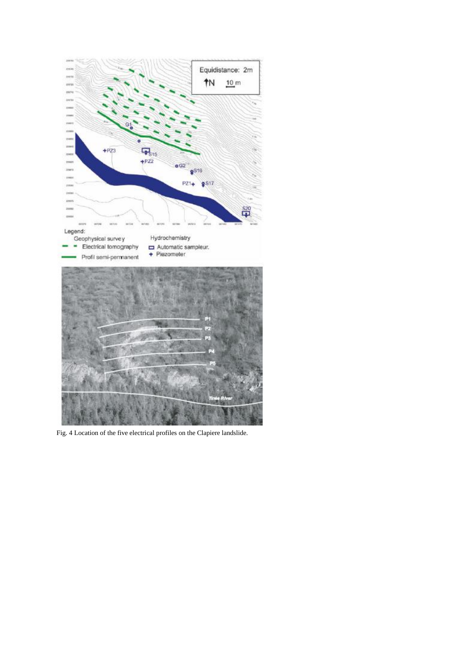

Fig. 4 Location of the five electrical profiles on the Clapiere landslide.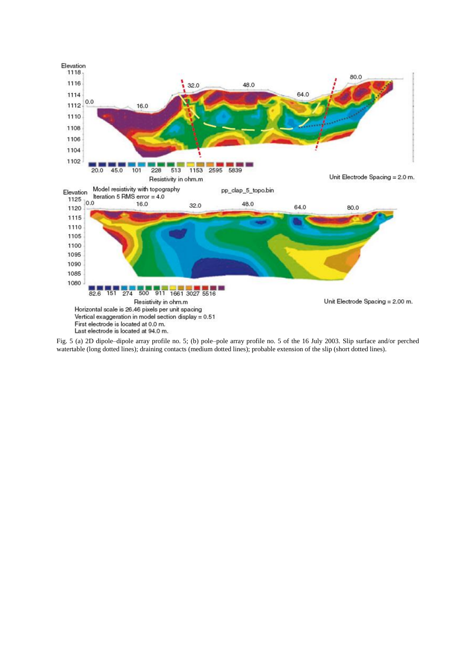

Fig. 5 (a) 2D dipole–dipole array profile no. 5; (b) pole–pole array profile no. 5 of the 16 July 2003. Slip surface and/or perched watertable (long dotted lines); draining contacts (medium dotted lines); probable extension of the slip (short dotted lines).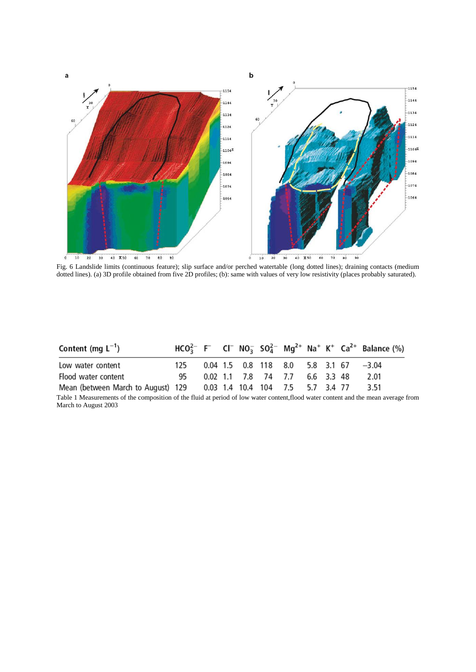

Fig. 6 Landslide limits (continuous feature); slip surface and/or perched watertable (long dotted lines); draining contacts (medium dotted lines). (a) 3D profile obtained from five 2D profiles; (b): same with values of very low resistivity (places probably saturated).

| Content (mg $L^{-1}$ )                                               |      |  |  |                                |  | $HCO_3^{2-}$ F CI $NO_3^-$ SO <sub>4</sub> <sup>2</sup> Mg <sup>2+</sup> Na <sup>+</sup> K <sup>+</sup> Ca <sup>2+</sup> Balance (%) |
|----------------------------------------------------------------------|------|--|--|--------------------------------|--|--------------------------------------------------------------------------------------------------------------------------------------|
| Low water content                                                    | 125. |  |  |                                |  | $0.04$ 1.5 0.8 118 8.0 5.8 3.1 67 $-3.04$                                                                                            |
| Flood water content                                                  | 95   |  |  | 0.02 1.1 7.8 74 7.7 6.6 3.3 48 |  | 2.01                                                                                                                                 |
| Mean (between March to August) 129 0.03 1.4 10.4 10.4 7.5 5.7 3.4 77 |      |  |  |                                |  | 3.51                                                                                                                                 |

Table 1 Measurements of the composition of the fluid at period of low water content,flood water content and the mean average from March to August 2003